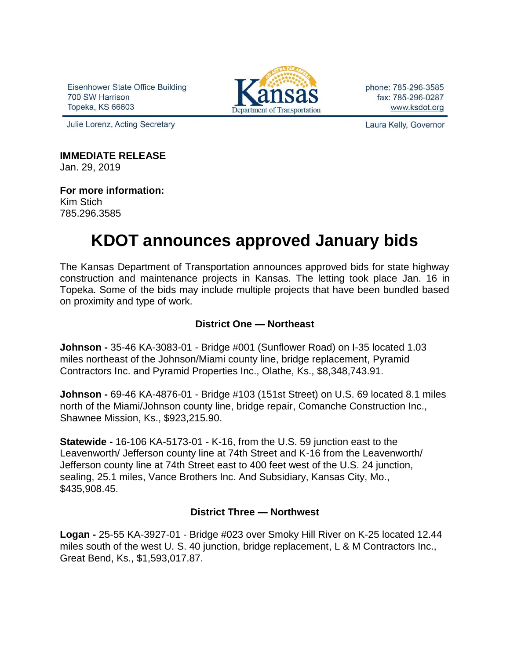Eisenhower State Office Building 700 SW Harrison Topeka, KS 66603



phone: 785-296-3585 fax: 785-296-0287 www.ksdot.org

Julie Lorenz, Acting Secretary

Laura Kelly, Governor

# **IMMEDIATE RELEASE**

Jan. 29, 2019

**For more information:** Kim Stich 785.296.3585

# **KDOT announces approved January bids**

The Kansas Department of Transportation announces approved bids for state highway construction and maintenance projects in Kansas. The letting took place Jan. 16 in Topeka. Some of the bids may include multiple projects that have been bundled based on proximity and type of work.

### **District One — Northeast**

**Johnson -** 35-46 KA-3083-01 - Bridge #001 (Sunflower Road) on I-35 located 1.03 miles northeast of the Johnson/Miami county line, bridge replacement, Pyramid Contractors Inc. and Pyramid Properties Inc., Olathe, Ks., \$8,348,743.91.

**Johnson -** 69-46 KA-4876-01 - Bridge #103 (151st Street) on U.S. 69 located 8.1 miles north of the Miami/Johnson county line, bridge repair, Comanche Construction Inc., Shawnee Mission, Ks., \$923,215.90.

**Statewide -** 16-106 KA-5173-01 - K-16, from the U.S. 59 junction east to the Leavenworth/ Jefferson county line at 74th Street and K-16 from the Leavenworth/ Jefferson county line at 74th Street east to 400 feet west of the U.S. 24 junction, sealing, 25.1 miles, Vance Brothers Inc. And Subsidiary, Kansas City, Mo., \$435,908.45.

## **District Three — Northwest**

**Logan -** 25-55 KA-3927-01 - Bridge #023 over Smoky Hill River on K-25 located 12.44 miles south of the west U. S. 40 junction, bridge replacement, L & M Contractors Inc., Great Bend, Ks., \$1,593,017.87.